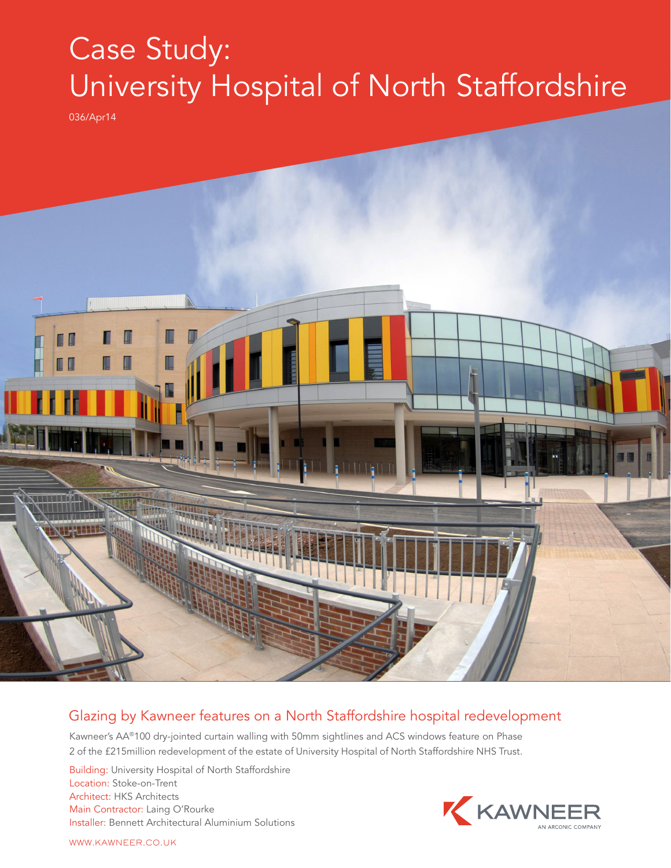## Case Study: University Hospital of North Staffordshire

036/Apr14



## Glazing by Kawneer features on a North Staffordshire hospital redevelopment

Kawneer's AA®100 dry-jointed curtain walling with 50mm sightlines and ACS windows feature on Phase 2 of the £215million redevelopment of the estate of University Hospital of North Staffordshire NHS Trust.

Building: University Hospital of North Staffordshire Location: Stoke-on-Trent Architect: HKS Architects Main Contractor: Laing O'Rourke Installer: Bennett Architectural Aluminium Solutions



WWW.KAWNEER.CO.UK